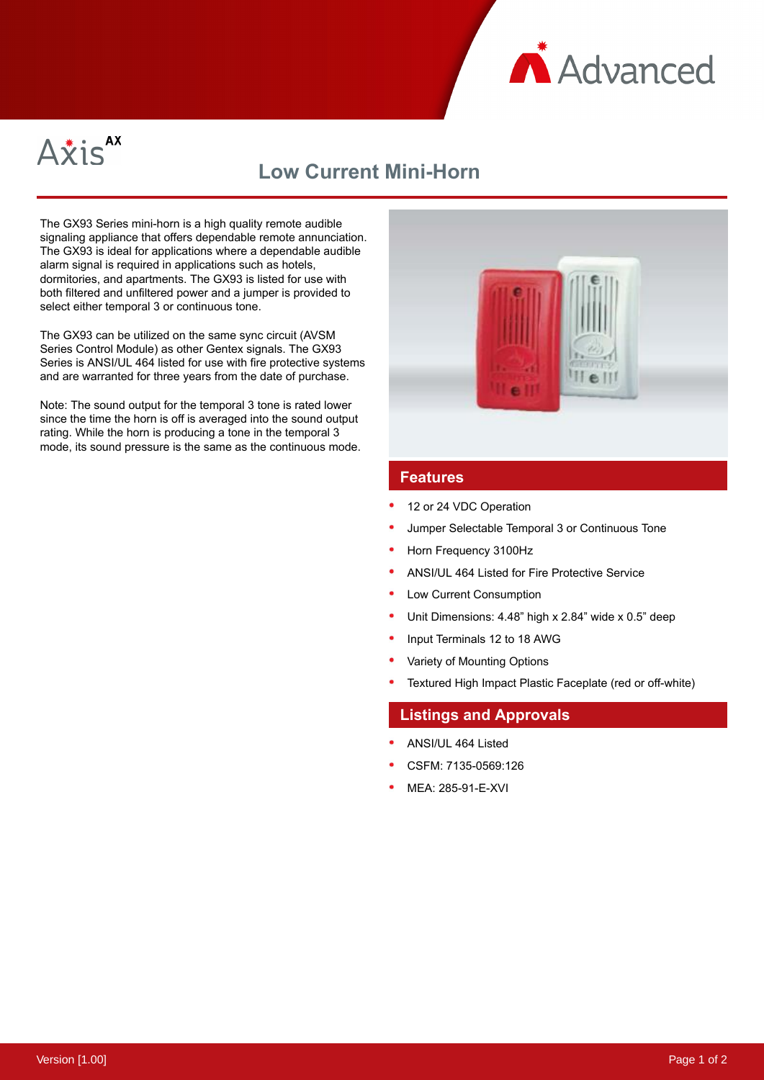



# **Low Current Mini-Horn**

The GX93 Series mini-horn is a high quality remote audible signaling appliance that offers dependable remote annunciation. The GX93 is ideal for applications where a dependable audible alarm signal is required in applications such as hotels, dormitories, and apartments. The GX93 is listed for use with both filtered and unfiltered power and a jumper is provided to select either temporal 3 or continuous tone.

The GX93 can be utilized on the same sync circuit (AVSM Series Control Module) as other Gentex signals. The GX93 Series is ANSI/UL 464 listed for use with fire protective systems and are warranted for three years from the date of purchase.

Note: The sound output for the temporal 3 tone is rated lower since the time the horn is off is averaged into the sound output rating. While the horn is producing a tone in the temporal 3 mode, its sound pressure is the same as the continuous mode.



# **Features**

- 12 or 24 VDC Operation
- Jumper Selectable Temporal 3 or Continuous Tone
- Horn Frequency 3100Hz
- ANSI/UL 464 Listed for Fire Protective Service
- Low Current Consumption
- Unit Dimensions: 4.48" high x 2.84" wide x 0.5" deep
- Input Terminals 12 to 18 AWG
- Variety of Mounting Options
- Textured High Impact Plastic Faceplate (red or off-white)

#### **Listings and Approvals**

- ANSI/UL 464 Listed
- CSFM: 7135-0569:126
- MEA: 285-91-E-XVI